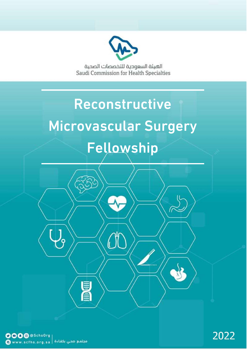

الهيئة السعودية للتخصصات الصحية Saudi Commission for Health Specialties

# Reconstructive Microvascular Surgery Fellowship

**The Count**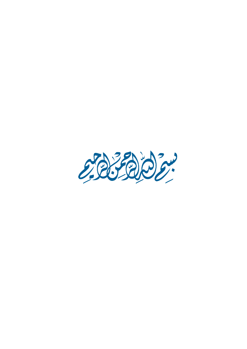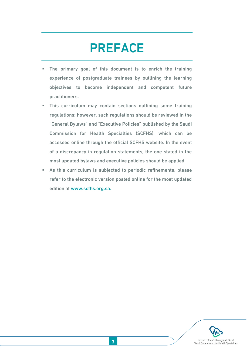## <span id="page-2-0"></span>PREFACE

- **The primary goal of this document is to enrich the training** experience of postgraduate trainees by outlining the learning objectives to become independent and competent future practitioners.
- This curriculum may contain sections outlining some training regulations; however, such regulations should be reviewed in the "General Bylaws" and "Executive Policies" published by the Saudi Commission for Health Specialties (SCFHS), which can be accessed online through the official SCFHS website. In the event of a discrepancy in regulation statements, the one stated in the most updated bylaws and executive policies should be applied.
- As this curriculum is subjected to periodic refinements, please refer to the electronic version posted online for the most updated edition at [www.scfhs.org.sa.](http://www.scfhs.org.sa/)

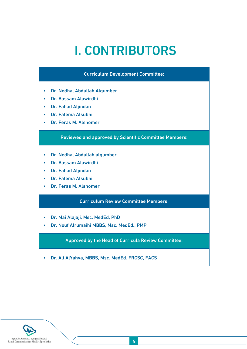## <span id="page-3-0"></span>I. CONTRIBUTORS

#### Curriculum Development Committee:

- Dr. Nedhal Abdullah Alqumber
- Dr. Bassam Alawirdhi
- Dr. Fahad Aljindan
- Dr. Fatema Alsubhi
- Dr. Feras M. Alshomer

#### Reviewed and approved by Scientific Committee Members:

- Dr. Nedhal Abdullah alqumber
- Dr. Bassam Alawirdhi
- Dr. Fahad Aljindan
- Dr. Fatema Alsubhi
- Dr. Feras M. Alshomer

#### Curriculum Review Committee Members:

- Dr. Mai Alajaji, Msc. MedEd, PhD
- Dr. Nouf Alrumaihi MBBS, Msc. MedEd., PMP

Approved by the Head of Curricula Review Committee:

• Dr. Ali AlYahya, MBBS, Msc. MedEd. FRCSC, FACS

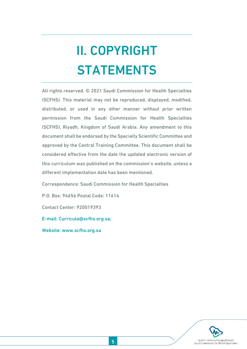# <span id="page-4-0"></span>II. COPYRIGHT STATEMENTS

All rights reserved. © 2021 Saudi Commission for Health Specialties (SCFHS). This material may not be reproduced, displayed, modified, distributed, or used in any other manner without prior written permission from the Saudi Commission for Health Specialties (SCFHS), Riyadh, Kingdom of Saudi Arabia. Any amendment to this document shall be endorsed by the Specialty Scientific Committee and approved by the Central Training Committee. This document shall be considered effective from the date the updated electronic version of this curriculum was published on the commission's website, unless a different implementation date has been mentioned.

Correspondence: Saudi Commission for Health Specialties

P.O. Box: 94656 Postal Code: 11614

Contact Center: 920019393

E-mail: [Curricula@scfhs.org.sa;](mailto:Curricula@scfhs.org.sa)

Website: [www.scfhs.org.sa](http://www.scfhs.org.sa/)

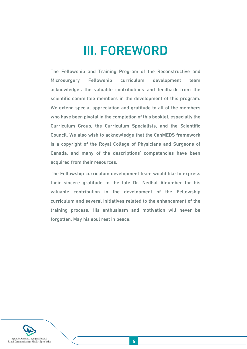## <span id="page-5-0"></span>III. FOREWORD

The Fellowship and Training Program of the Reconstructive and Microsurgery Fellowship curriculum development team acknowledges the valuable contributions and feedback from the scientific committee members in the development of this program. We extend special appreciation and gratitude to all of the members who have been pivotal in the completion of this booklet, especially the Curriculum Group, the Curriculum Specialists, and the Scientific Council. We also wish to acknowledge that the CanMEDS framework is a copyright of the Royal College of Physicians and Surgeons of Canada, and many of the descriptions' competencies have been acquired from their resources.

The Fellowship curriculum development team would like to express their sincere gratitude to the late Dr. Nedhal Alqumber for his valuable contribution in the development of the Fellowship curriculum and several initiatives related to the enhancement of the training process. His enthusiasm and motivation will never be forgotten. May his soul rest in peace.

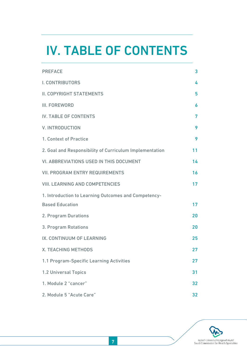## <span id="page-6-0"></span>IV. TABLE OF CONTENTS

| <b>PREFACE</b>                                          | $\overline{\mathbf{3}}$ |
|---------------------------------------------------------|-------------------------|
| <b>I. CONTRIBUTORS</b>                                  | 4                       |
| <b>II. COPYRIGHT STATEMENTS</b>                         | 5                       |
| <b>III. FOREWORD</b>                                    | 6                       |
| <b>IV. TABLE OF CONTENTS</b>                            | 7                       |
| <b>V. INTRODUCTION</b>                                  | 9                       |
| 1. Context of Practice                                  | 9                       |
| 2. Goal and Responsibility of Curriculum Implementation | 11                      |
| <b>VI. ABBREVIATIONS USED IN THIS DOCUMENT</b>          | 14                      |
| <b>VII. PROGRAM ENTRY REQUIREMENTS</b>                  | 16                      |
| <b>VIII. LEARNING AND COMPETENCIES</b>                  | 17                      |
| 1. Introduction to Learning Outcomes and Competency-    |                         |
| <b>Based Education</b>                                  | 17                      |
| 2. Program Durations                                    | 20                      |
| 3. Program Rotations                                    | 20                      |
| IX. CONTINUUM OF LEARNING                               | 25                      |
| <b>X. TEACHING METHODS</b>                              | 27                      |
| 1.1 Program-Specific Learning Activities                | 27                      |
| 1.2 Universal Topics                                    | 31                      |
| 1. Module 2 "cancer"                                    | 32                      |
| 2. Module 5 "Acute Care"                                | 32                      |

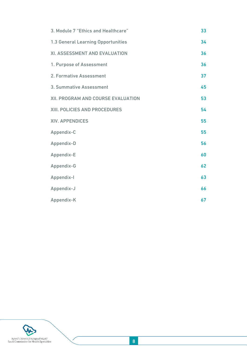| 3. Module 7 "Ethics and Healthcare"       | 33 |
|-------------------------------------------|----|
| <b>1.3 General Learning Opportunities</b> | 34 |
| XI. ASSESSMENT AND EVALUATION             | 36 |
| 1. Purpose of Assessment                  | 36 |
| 2. Formative Assessment                   | 37 |
| 3. Summative Assessment                   | 45 |
| XII. PROGRAM AND COURSE EVALUATION        | 53 |
| XIII. POLICIES AND PROCEDURES             | 54 |
| <b>XIV. APPENDICES</b>                    | 55 |
| Appendix-C                                | 55 |
| Appendix-D                                | 56 |
| Appendix-E                                | 60 |
| Appendix-G                                | 62 |
| Appendix-I                                | 63 |
| Appendix-J                                | 66 |
| Appendix-K                                | 67 |

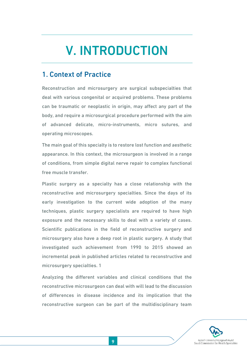## <span id="page-8-0"></span>V. INTRODUCTION

## <span id="page-8-1"></span>1. Context of Practice

Reconstruction and microsurgery are surgical subspecialties that deal with various congenital or acquired problems. These problems can be traumatic or neoplastic in origin, may affect any part of the body, and require a microsurgical procedure performed with the aim of advanced delicate, micro-instruments, micro sutures, and operating microscopes.

The main goal of this specialty is to restore lost function and aesthetic appearance. In this context, the microsurgeon is involved in a range of conditions, from simple digital nerve repair to complex functional free muscle transfer.

Plastic surgery as a specialty has a close relationship with the reconstructive and microsurgery specialties. Since the days of its early investigation to the current wide adoption of the many techniques, plastic surgery specialists are required to have high exposure and the necessary skills to deal with a variety of cases. Scientific publications in the field of reconstructive surgery and microsurgery also have a deep root in plastic surgery. A study that investigated such achievement from 1990 to 2015 showed an incremental peak in published articles related to reconstructive and microsurgery specialties. 1

Analyzing the different variables and clinical conditions that the reconstructive microsurgeon can deal with will lead to the discussion of differences in disease incidence and its implication that the reconstructive surgeon can be part of the multidisciplinary team

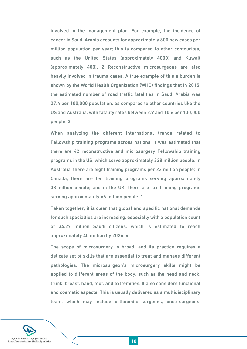involved in the management plan. For example, the incidence of cancer in Saudi Arabia accounts for approximately 800 new cases per million population per year; this is compared to other contourites, such as the United States (approximately 4000) and Kuwait (approximately 400). 2 Reconstructive microsurgeons are also heavily involved in trauma cases. A true example of this a burden is shown by the World Health Organization (WHO) findings that in 2015, the estimated number of road traffic fatalities in Saudi Arabia was 27.4 per 100,000 population, as compared to other countries like the US and Australia, with fatality rates between 2.9 and 10.6 per 100,000 people. 3

When analyzing the different international trends related to Fellowship training programs across nations, it was estimated that there are 42 reconstructive and microsurgery Fellowship training programs in the US, which serve approximately 328 million people. In Australia, there are eight training programs per 23 million people; in Canada, there are ten training programs serving approximately 38 million people; and in the UK, there are six training programs serving approximately 66 million people. 1

Taken together, it is clear that global and specific national demands for such specialties are increasing, especially with a population count of 34.27 million Saudi citizens, which is estimated to reach approximately 40 million by 2026. 4

The scope of microsurgery is broad, and its practice requires a delicate set of skills that are essential to treat and manage different pathologies. The microsurgeon's microsurgery skills might be applied to different areas of the body, such as the head and neck, trunk, breast, hand, foot, and extremities. It also considers functional and cosmetic aspects. This is usually delivered as a multidisciplinary team, which may include orthopedic surgeons, onco-surgeons,

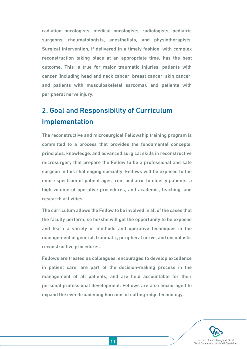radiation oncologists, medical oncologists, radiologists, pediatric surgeons, rheumatologists, anesthetists, and physiotherapists. Surgical intervention, if delivered in a timely fashion, with complex reconstruction taking place at an appropriate time, has the best outcome. This is true for major traumatic injuries, patients with cancer (including head and neck cancer, breast cancer, skin cancer, and patients with musculoskeletal sarcoma), and patients with peripheral nerve injury.

## <span id="page-10-0"></span>2. Goal and Responsibility of Curriculum Implementation

The reconstructive and microsurgical Fellowship training program is committed to a process that provides the fundamental concepts, principles, knowledge, and advanced surgical skills in reconstructive microsurgery that prepare the Fellow to be a professional and safe surgeon in this challenging specialty. Fellows will be exposed to the entire spectrum of patient ages from pediatric to elderly patients, a high volume of operative procedures, and academic, teaching, and research activities.

The curriculum allows the Fellow to be involved in all of the cases that the faculty perform, so he/she will get the opportunity to be exposed and learn a variety of methods and operative techniques in the management of general, traumatic, peripheral nerve, and oncoplastic reconstructive procedures.

Fellows are treated as colleagues, encouraged to develop excellence in patient care, are part of the decision-making process in the management of all patients, and are held accountable for their personal professional development. Fellows are also encouraged to expand the ever-broadening horizons of cutting-edge technology.

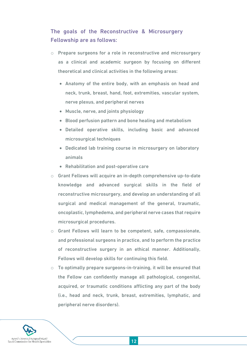### The goals of the Reconstructive & Microsurgery Fellowship are as follows:

- o Prepare surgeons for a role in reconstructive and microsurgery as a clinical and academic surgeon by focusing on different theoretical and clinical activities in the following areas:
	- Anatomy of the entire body, with an emphasis on head and neck, trunk, breast, hand, foot, extremities, vascular system, nerve plexus, and peripheral nerves
	- Muscle, nerve, and joints physiology
	- Blood perfusion pattern and bone healing and metabolism
	- Detailed operative skills, including basic and advanced microsurgical techniques
	- Dedicated lab training course in microsurgery on laboratory animals
	- Rehabilitation and post-operative care
- o Grant Fellows will acquire an in-depth comprehensive up-to-date knowledge and advanced surgical skills in the field of reconstructive microsurgery, and develop an understanding of all surgical and medical management of the general, traumatic, oncoplastic, lymphedema, and peripheral nerve cases that require microsurgical procedures.
- o Grant Fellows will learn to be competent, safe, compassionate, and professional surgeons in practice, and to perform the practice of reconstructive surgery in an ethical manner. Additionally, Fellows will develop skills for continuing this field.
- $\circ$  To optimally prepare surgeons-in-training, it will be ensured that the Fellow can confidently manage all pathological, congenital, acquired, or traumatic conditions afflicting any part of the body (i.e., head and neck, trunk, breast, extremities, lymphatic, and peripheral nerve disorders).

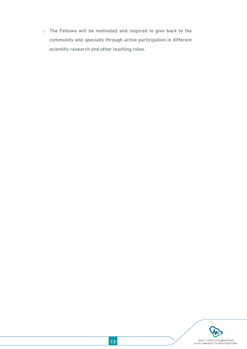o The Fellows will be motivated and inspired to give back to the community and specialty through active participation in different scientific research and other teaching roles.

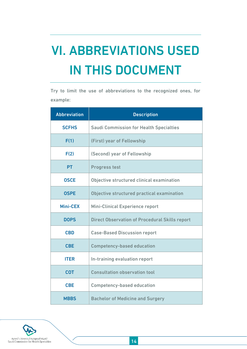# <span id="page-13-0"></span>VI. ABBREVIATIONS USED IN THIS DOCUMENT

Try to limit the use of abbreviations to the recognized ones, for example:

| <b>Abbreviation</b> | <b>Description</b>                                    |
|---------------------|-------------------------------------------------------|
| <b>SCFHS</b>        | <b>Saudi Commission for Health Specialties</b>        |
| F(1)                | (First) year of Fellowship                            |
| F(2)                | (Second) year of Fellowship                           |
| <b>PT</b>           | <b>Progress test</b>                                  |
| <b>OSCE</b>         | Objective structured clinical examination             |
| <b>OSPE</b>         | Objective structured practical examination            |
| Mini-CEX            | <b>Mini-Clinical Experience report</b>                |
| <b>DOPS</b>         | <b>Direct Observation of Procedural Skills report</b> |
| <b>CBD</b>          | <b>Case-Based Discussion report</b>                   |
| <b>CBE</b>          | <b>Competency-based education</b>                     |
| <b>ITER</b>         | In-training evaluation report                         |
| <b>COT</b>          | <b>Consultation observation tool</b>                  |
| <b>CBE</b>          | <b>Competency-based education</b>                     |
| <b>MBBS</b>         | <b>Bachelor of Medicine and Surgery</b>               |

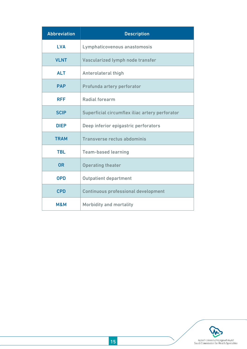| <b>Abbreviation</b> | <b>Description</b>                             |  |
|---------------------|------------------------------------------------|--|
| <b>LVA</b>          | Lymphaticovenous anastomosis                   |  |
| <b>VLNT</b>         | Vascularized lymph node transfer               |  |
| <b>ALT</b>          | <b>Anterolateral thigh</b>                     |  |
| <b>PAP</b>          | Profunda artery perforator                     |  |
| <b>RFF</b>          | <b>Radial forearm</b>                          |  |
| <b>SCIP</b>         | Superficial circumflex iliac artery perforator |  |
| <b>DIEP</b>         | Deep inferior epigastric perforators           |  |
| <b>TRAM</b>         | <b>Transverse rectus abdominis</b>             |  |
| <b>TBL</b>          | <b>Team-based learning</b>                     |  |
| <b>OR</b>           | <b>Operating theater</b>                       |  |
| <b>OPD</b>          | <b>Outpatient department</b>                   |  |
| <b>CPD</b>          | <b>Continuous professional development</b>     |  |
| M&M                 | <b>Morbidity and mortality</b>                 |  |

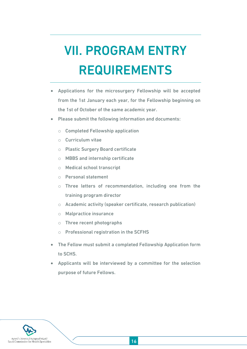# <span id="page-15-0"></span>VII. PROGRAM ENTRY REQUIREMENTS

- Applications for the microsurgery Fellowship will be accepted from the 1st January each year, for the Fellowship beginning on the 1st of October of the same academic year.
- Please submit the following information and documents:
	- o Completed Fellowship application
	- o Curriculum vitae
	- o Plastic Surgery Board certificate
	- o MBBS and internship certificate
	- o Medical school transcript
	- o Personal statement
	- o Three letters of recommendation, including one from the training program director
	- o Academic activity (speaker certificate, research publication)
	- o Malpractice insurance
	- o Three recent photographs
	- o Professional registration in the SCFHS
- The Fellow must submit a completed Fellowship Application form to SCHS.
- Applicants will be interviewed by a committee for the selection purpose of future Fellows.

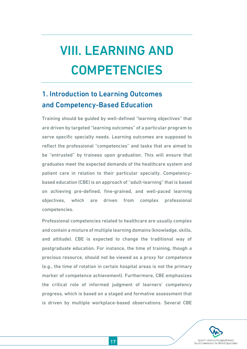# <span id="page-16-0"></span>VIII. LEARNING AND COMPETENCIES

## <span id="page-16-1"></span>1. Introduction to Learning Outcomes and Competency-Based Education

Training should be guided by well-defined "learning objectives" that are driven by targeted "learning outcomes" of a particular program to serve specific specialty needs. Learning outcomes are supposed to reflect the professional "competencies" and tasks that are aimed to be "entrusted" by trainees upon graduation. This will ensure that graduates meet the expected demands of the healthcare system and patient care in relation to their particular specialty. Competencybased education (CBE) is an approach of "adult-learning" that is based on achieving pre-defined, fine-grained, and well-paced learning objectives, which are driven from complex professional competencies.

Professional competencies related to healthcare are usually complex and contain a mixture of multiple learning domains (knowledge, skills, and attitude). CBE is expected to change the traditional way of postgraduate education. For instance, the time of training, though a precious resource, should not be viewed as a proxy for competence (e.g., the time of rotation in certain hospital areas is not the primary marker of competence achievement). Furthermore, CBE emphasizes the critical role of informed judgment of learners' competency progress, which is based on a staged and formative assessment that is driven by multiple workplace-based observations. Several CBE

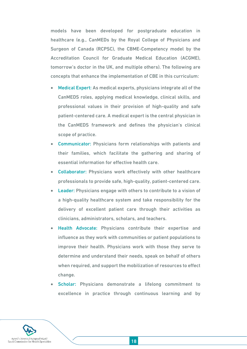models have been developed for postgraduate education in healthcare (e.g., CanMEDs by the Royal College of Physicians and Surgeon of Canada (RCPSC), the CBME-Competency model by the Accreditation Council for Graduate Medical Education (ACGME), tomorrow's doctor in the UK, and multiple others). The following are concepts that enhance the implementation of CBE in this curriculum:

- Medical Expert: As medical experts, physicians integrate all of the CanMEDS roles, applying medical knowledge, clinical skills, and professional values in their provision of high-quality and safe patient-centered care. A medical expert is the central physician in the CanMEDS framework and defines the physician's clinical scope of practice.
- Communicator: Physicians form relationships with patients and their families, which facilitate the gathering and sharing of essential information for effective health care.
- Collaborator: Physicians work effectively with other healthcare professionals to provide safe, high-quality, patient-centered care.
- Leader: Physicians engage with others to contribute to a vision of a high-quality healthcare system and take responsibility for the delivery of excellent patient care through their activities as clinicians, administrators, scholars, and teachers.
- Health Advocate: Physicians contribute their expertise and influence as they work with communities or patient populations to improve their health. Physicians work with those they serve to determine and understand their needs, speak on behalf of others when required, and support the mobilization of resources to effect change.
- Scholar: Physicians demonstrate a lifelong commitment to excellence in practice through continuous learning and by

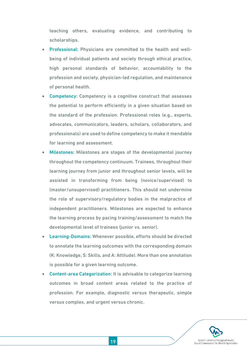teaching others, evaluating evidence, and contributing to scholarships.

- Professional: Physicians are committed to the health and wellbeing of individual patients and society through ethical practice, high personal standards of behavior, accountability to the profession and society, physician-led regulation, and maintenance of personal health.
- Competency: Competency is a cognitive construct that assesses the potential to perform efficiently in a given situation based on the standard of the profession. Professional roles (e.g., experts, advocates, communicators, leaders, scholars, collaborators, and professionals) are used to define competency to make it mendable for learning and assessment.
- Milestones: Milestones are stages of the developmental journey throughout the competency continuum. Trainees, throughout their learning journey from junior and throughout senior levels, will be assisted in transforming from being (novice/supervised) to (master/unsupervised) practitioners. This should not undermine the role of supervisory/regulatory bodies in the malpractice of independent practitioners. Milestones are expected to enhance the learning process by pacing training/assessment to match the developmental level of trainees (junior vs. senior).
- Learning-Domains: Whenever possible, efforts should be directed to annotate the learning outcomes with the corresponding domain (K: Knowledge, S: Skills, and A: Attitude). More than one annotation is possible for a given learning outcome.
- Content-area Categorization: It is advisable to categorize learning outcomes in broad content areas related to the practice of profession. For example, diagnostic versus therapeutic, simple versus complex, and urgent versus chronic.

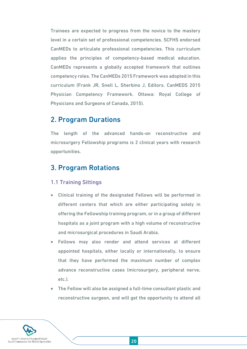Trainees are expected to progress from the novice to the mastery level in a certain set of professional competencies. SCFHS endorsed CanMEDs to articulate professional competencies. This curriculum applies the principles of competency-based medical education. CanMEDs represents a globally accepted framework that outlines competency roles. The CanMEDs 2015 Framework was adopted in this curriculum (Frank JR, Snell L, Sherbino J, Editors. CanMEDS 2015 Physician Competency Framework. Ottawa: Royal College of Physicians and Surgeons of Canada, 2015).

### <span id="page-19-0"></span>2. Program Durations

The length of the advanced hands-on reconstructive and microsurgery Fellowship programs is 2 clinical years with research opportunities.

## <span id="page-19-1"></span>3. Program Rotations

#### 1.1 Training Sittings

- Clinical training of the designated Fellows will be performed in different centers that which are either participating solely in offering the Fellowship training program, or in a group of different hospitals as a joint program with a high volume of reconstructive and microsurgical procedures in Saudi Arabia.
- Fellows may also render and attend services at different appointed hospitals, either locally or internationally, to ensure that they have performed the maximum number of complex advance reconstructive cases (microsurgery, peripheral nerve, etc.).
- The Fellow will also be assigned a full-time consultant plastic and reconstructive surgeon, and will get the opportunity to attend all

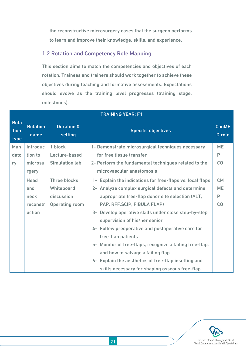the reconstructive microsurgery cases that the surgeon performs to learn and improve their knowledge, skills, and experience.

### 1.2 Rotation and Competency Role Mapping

This section aims to match the competencies and objectives of each rotation. Trainees and trainers should work together to achieve these objectives during teaching and formative assessments. Expectations should evolve as the training level progresses (training stage, milestones).

|                             | I KAININU TEAK: FI      |                                         |                                                           |                        |
|-----------------------------|-------------------------|-----------------------------------------|-----------------------------------------------------------|------------------------|
| <b>Rota</b><br>tion<br>type | <b>Rotation</b><br>name | <b>Duration &amp;</b><br><b>setting</b> | <b>Specific objectives</b>                                | <b>CanME</b><br>D role |
| Man                         | Introduc                | 1 block                                 | 1- Demonstrate microsurgical techniques necessary         | <b>ME</b>              |
| dato                        | tion to                 | Lecture-based                           | for free tissue transfer                                  | P                      |
| ry                          | microsu                 | <b>Simulation lab</b>                   | 2- Perform the fundamental techniques related to the      | CO                     |
|                             | rgery                   |                                         | microvascular anastomosis                                 |                        |
|                             | <b>Head</b>             | <b>Three blocks</b>                     | 1- Explain the indications for free-flaps vs. local flaps | <b>CM</b>              |
|                             | and                     | Whiteboard                              | 2- Analyze complex surgical defects and determine         | <b>ME</b>              |
|                             | neck                    | discussion                              | appropriate free-flap donor site selection (ALT,          | P                      |
|                             | reconstr                | <b>Operating room</b>                   | PAP, RFF, SCIP, FIBULA FLAP)                              | CO                     |
|                             | uction                  |                                         | Develop operative skills under close step-by-step<br>$3-$ |                        |
|                             |                         |                                         | supervision of his/her senior                             |                        |
|                             |                         |                                         | 4- Follow preoperative and postoperative care for         |                        |
|                             |                         |                                         | free-flap patients                                        |                        |
|                             |                         |                                         | 5- Monitor of free-flaps, recognize a failing free-flap,  |                        |
|                             |                         |                                         | and how to salvage a failing flap                         |                        |
|                             |                         |                                         | 6- Explain the aesthetics of free-flap insetting and      |                        |
|                             |                         |                                         | skills necessary for shaping osseous free-flap            |                        |

TRAINING YEAR: F1

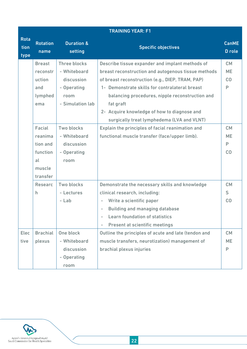|                             | <b>TRAINING YEAR: F1</b> |                                  |                                                                   |                        |
|-----------------------------|--------------------------|----------------------------------|-------------------------------------------------------------------|------------------------|
| <b>Rota</b><br>tion<br>type | <b>Rotation</b><br>name  | <b>Duration &amp;</b><br>setting | <b>Specific objectives</b>                                        | <b>CanME</b><br>D role |
|                             | <b>Breast</b>            | <b>Three blocks</b>              | Describe tissue expander and implant methods of                   | <b>CM</b>              |
|                             | reconstr                 | - Whiteboard                     | breast reconstruction and autogenous tissue methods               | <b>ME</b>              |
|                             | uction                   | discussion                       | of breast reconstruction (e.g., DIEP, TRAM, PAP)                  | CO                     |
|                             | and                      | - Operating                      | 1- Demonstrate skills for contralateral breast                    | P                      |
|                             | lymphed                  | room                             | balancing procedures, nipple reconstruction and                   |                        |
|                             | ema                      | - Simulation lab                 | fat graft                                                         |                        |
|                             |                          |                                  | 2- Acquire knowledge of how to diagnose and                       |                        |
|                             |                          |                                  | surgically treat lymphedema (LVA and VLNT)                        |                        |
|                             | Facial                   | <b>Two blocks</b>                | Explain the principles of facial reanimation and                  | <b>CM</b>              |
|                             | reanima                  | - Whiteboard                     | functional muscle transfer (face/upper limb).                     | <b>ME</b>              |
|                             | tion and                 | discussion                       |                                                                   | P                      |
|                             | function                 | - Operating                      |                                                                   | CO                     |
|                             | al                       | room                             |                                                                   |                        |
|                             | muscle                   |                                  |                                                                   |                        |
|                             | transfer                 |                                  |                                                                   |                        |
|                             | <b>Researc</b>           | Two blocks                       | Demonstrate the necessary skills and knowledge                    | <b>CM</b>              |
|                             | h.                       | - Lectures                       | clinical research, including:                                     | S                      |
|                             |                          | - Lab                            | Write a scientific paper<br>-                                     | CO                     |
|                             |                          |                                  | <b>Building and managing database</b>                             |                        |
|                             |                          |                                  | <b>Learn foundation of statistics</b>                             |                        |
|                             |                          |                                  | <b>Present at scientific meetings</b><br>$\overline{\phantom{0}}$ |                        |
| <b>Elec</b>                 | <b>Brachial</b>          | One block                        | Outline the principles of acute and late (tendon and              | <b>CM</b>              |
| tive                        | plexus                   | - Whiteboard                     | muscle transfers, neurotization) management of                    | <b>ME</b>              |
|                             |                          | discussion                       | brachial plexus injuries                                          | P                      |
|                             |                          | - Operating                      |                                                                   |                        |
|                             |                          | room                             |                                                                   |                        |

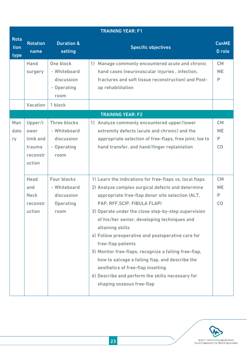|                             | <b>TRAINING YEAR: F1</b>                                    |                                                                          |                                                                                                                                                                                                                                                                                                                                                                                                                                                                                                                                                                                                                                          |                                   |
|-----------------------------|-------------------------------------------------------------|--------------------------------------------------------------------------|------------------------------------------------------------------------------------------------------------------------------------------------------------------------------------------------------------------------------------------------------------------------------------------------------------------------------------------------------------------------------------------------------------------------------------------------------------------------------------------------------------------------------------------------------------------------------------------------------------------------------------------|-----------------------------------|
| <b>Rota</b><br>tion<br>type | <b>Rotation</b><br>name                                     | <b>Duration &amp;</b><br>setting                                         | <b>Specific objectives</b>                                                                                                                                                                                                                                                                                                                                                                                                                                                                                                                                                                                                               | <b>CanME</b><br>D role            |
|                             | Hand<br>surgery                                             | One block<br>- Whiteboard<br>discussion<br>- Operating<br>room           | 1) Manage commonly encountered acute and chronic<br>hand cases (neurovascular injuries, infection,<br>fractures and soft tissue reconstruction) and Post-<br>op rehabilitation                                                                                                                                                                                                                                                                                                                                                                                                                                                           | <b>CM</b><br><b>ME</b><br>P       |
|                             | Vacation                                                    | 1 block                                                                  |                                                                                                                                                                                                                                                                                                                                                                                                                                                                                                                                                                                                                                          |                                   |
|                             |                                                             |                                                                          | <b>TRAINING YEAR: F2</b>                                                                                                                                                                                                                                                                                                                                                                                                                                                                                                                                                                                                                 |                                   |
| Man<br>dato<br>ry           | Upper/l<br>ower<br>limb and<br>trauma<br>reconstr<br>uction | <b>Three blocks</b><br>- Whiteboard<br>discussion<br>- Operating<br>room | Analyze commonly encountered upper/lower<br>1)<br>extremity defects (acute and chronic) and the<br>appropriate selection of free-flaps, free joint, toe to<br>hand transfer, and hand/finger replantation                                                                                                                                                                                                                                                                                                                                                                                                                                | <b>CM</b><br><b>ME</b><br>P<br>CO |
|                             | <b>Head</b><br>and<br><b>Neck</b><br>reconstr<br>uction     | Four blocks<br>- Whiteboard<br>discussion<br><b>Operating</b><br>room    | 1) Learn the indications for free-flaps vs. local flaps<br>2) Analyze complex surgical defects and determine<br>appropriate free-flap donor site selection (ALT,<br>PAP, RFF, SCIP, FIBULA FLAP)<br>3) Operate under the close step-by-step supervision<br>of his/her senior, developing techniques and<br>attaining skills<br>4) Follow preoperative and postoperative care for<br>free-flap patients<br>5) Monitor free-flaps, recognize a failing free-flap,<br>how to salvage a failing flap, and describe the<br>aesthetics of free-flap insetting<br>6) Describe and perform the skills necessary for<br>shaping osseous free-flap | <b>CM</b><br><b>ME</b><br>P<br>CO |

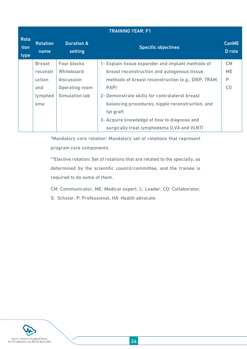|                             | <b>TRAINING YEAR: F1</b> |                                         |                                                     |                        |
|-----------------------------|--------------------------|-----------------------------------------|-----------------------------------------------------|------------------------|
| <b>Rota</b><br>tion<br>type | <b>Rotation</b><br>name  | <b>Duration &amp;</b><br><b>setting</b> | <b>Specific objectives</b>                          | <b>CanME</b><br>D role |
|                             | <b>Breast</b>            | <b>Four blocks</b>                      | 1- Explain tissue expander and implant methods of   | <b>CM</b>              |
|                             | reconstr                 | Whiteboard                              | breast reconstruction and autogenous tissue         | <b>ME</b>              |
|                             | uction                   | discussion                              | methods of breast reconstruction (e.g., DIEP, TRAM, | P                      |
|                             | and                      | <b>Operating room</b>                   | PAP)                                                | CO                     |
|                             | lymphed                  | <b>Simulation lab</b>                   | 2- Demonstrate skills for contralateral breast      |                        |
|                             | ema                      |                                         | balancing procedures, nipple reconstruction, and    |                        |
|                             |                          |                                         | fat graft                                           |                        |
|                             |                          |                                         | 3- Acquire knowledge of how to diagnose and         |                        |
|                             |                          |                                         | surgically treat lymphedema (LVA and VLNT)          |                        |

\*Mandatory core rotation: Mandatory set of rotations that represent program core components.

\*\*Elective rotation: Set of rotations that are related to the specialty, as determined by the scientific council/committee, and the trainee is required to do some of them.

CM: Communicator, ME: Medical expert, L: Leader, CO: Collaborator,

S: Scholar, P: Professional, HA: Health advocate

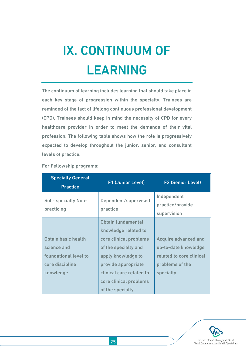# <span id="page-24-0"></span>IX. CONTINUUM OF LEARNING

The continuum of learning includes learning that should take place in each key stage of progression within the specialty. Trainees are reminded of the fact of lifelong continuous professional development (CPD). Trainees should keep in mind the necessity of CPD for every healthcare provider in order to meet the demands of their vital profession. The following table shows how the role is progressively expected to develop throughout the junior, senior, and consultant levels of practice.

| <b>Specialty General</b><br><b>Practice</b>                                                 | <b>F1 (Junior Level)</b>                                                                                                                                                                                            | <b>F2 (Senior Level)</b>                                                                                        |
|---------------------------------------------------------------------------------------------|---------------------------------------------------------------------------------------------------------------------------------------------------------------------------------------------------------------------|-----------------------------------------------------------------------------------------------------------------|
| <b>Sub-specialty Non-</b><br>practicing                                                     | Dependent/supervised<br>practice                                                                                                                                                                                    | Independent<br>practice/provide<br>supervision                                                                  |
| Obtain basic health<br>science and<br>foundational level to<br>core discipline<br>knowledge | Obtain fundamental<br>knowledge related to<br>core clinical problems<br>of the specialty and<br>apply knowledge to<br>provide appropriate<br>clinical care related to<br>core clinical problems<br>of the specialty | <b>Acquire advanced and</b><br>up-to-date knowledge<br>related to core clinical<br>problems of the<br>specialty |

For Fellowship programs:

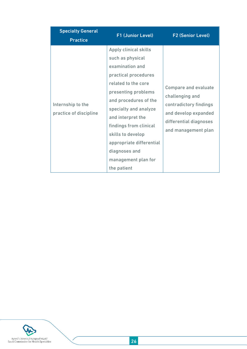| <b>Specialty General</b>                    | F1 (Junior Level)                                                                                                                                                                                                                                                                                                                           | <b>F2 (Senior Level)</b>                                                                                                                          |
|---------------------------------------------|---------------------------------------------------------------------------------------------------------------------------------------------------------------------------------------------------------------------------------------------------------------------------------------------------------------------------------------------|---------------------------------------------------------------------------------------------------------------------------------------------------|
| <b>Practice</b>                             |                                                                                                                                                                                                                                                                                                                                             |                                                                                                                                                   |
| Internship to the<br>practice of discipline | Apply clinical skills<br>such as physical<br>examination and<br>practical procedures<br>related to the core<br>presenting problems<br>and procedures of the<br>specialty and analyze<br>and interpret the<br>findings from clinical<br>skills to develop<br>appropriate differential<br>diagnoses and<br>management plan for<br>the patient | <b>Compare and evaluate</b><br>challenging and<br>contradictory findings<br>and develop expanded<br>differential diagnoses<br>and management plan |

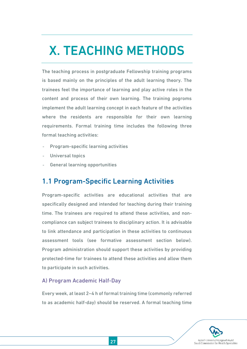## <span id="page-26-0"></span>X. TEACHING METHODS

The teaching process in postgraduate Fellowship training programs is based mainly on the principles of the adult learning theory. The trainees feel the importance of learning and play active roles in the content and process of their own learning. The training pogroms implement the adult learning concept in each feature of the activities where the residents are responsible for their own learning requirements. Formal training time includes the following three formal teaching activities:

- Program-specific learning activities
- Universal topics
- General learning opportunities

### <span id="page-26-1"></span>1.1 Program-Specific Learning Activities

Program-specific activities are educational activities that are specifically designed and intended for teaching during their training time. The trainees are required to attend these activities, and noncompliance can subject trainees to disciplinary action. It is advisable to link attendance and participation in these activities to continuous assessment tools (see formative assessment section below). Program administration should support these activities by providing protected-time for trainees to attend these activities and allow them to participate in such activities.

#### A) Program Academic Half-Day

Every week, at least 2–4 h of formal training time (commonly referred to as academic half-day) should be reserved. A formal teaching time

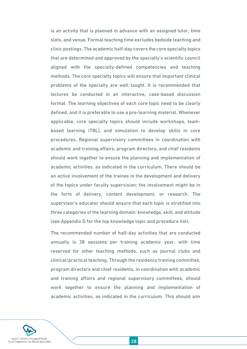is an activity that is planned in advance with an assigned tutor, time slots, and venue. Formal teaching time excludes bedside teaching and clinic postings. The academic half-day covers the core specialty topics that are determined and approved by the specialty's scientific council aligned with the specialty-defined competencies and teaching methods. The core specialty topics will ensure that important clinical problems of the specialty are well taught. It is recommended that lectures be conducted in an interactive, case-based discussion format. The learning objectives of each core topic need to be clearly defined, and it is preferable to use a pre-learning material. Whenever applicable, core specialty topics should include workshops, teambased learning (TBL), and simulation to develop skills in core procedures. Regional supervisory committees in coordination with academic and training affairs, program directors, and chief residents should work together to ensure the planning and implementation of academic activities, as indicated in the curriculum. There should be an active involvement of the trainee in the development and delivery of the topics under faculty supervision; the involvement might be in the form of delivery, content development, or research. The supervisor's educator should ensure that each topic is stratified into three categories of the learning domain: knowledge, skill, and attitude (see Appendix D for the top knowledge topic and procedure list).

The recommended number of half-day activities that are conducted annually is 38 sessions per training academic year, with time reserved for other teaching methods, such as journal clubs and clinical/practical teaching. Through the residency training committee, program directors and chief residents, in coordination with academic and training affairs and regional supervisory committees, should work together to ensure the planning and implementation of academic activities, as indicated in the curriculum. This should aim

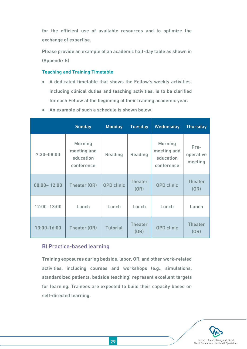for the efficient use of available resources and to optimize the exchange of expertise.

Please provide an example of an academic half-day table as shown in (Appendix E)

#### Teaching and Training Timetable

- A dedicated timetable that shows the Fellow's weekly activities, including clinical duties and teaching activities, is to be clarified for each Fellow at the beginning of their training academic year.
- An example of such a schedule is shown below.

|                 | <b>Sunday</b>                                            | <b>Monday</b>     | <b>Tuesday</b>         | Wednesday                                                | <b>Thursday</b>              |
|-----------------|----------------------------------------------------------|-------------------|------------------------|----------------------------------------------------------|------------------------------|
| $7:30 - 08:00$  | <b>Morning</b><br>meeting and<br>education<br>conference | <b>Reading</b>    | Reading                | <b>Morning</b><br>meeting and<br>education<br>conference | Pre-<br>operative<br>meeting |
| $08:00 - 12:00$ | Theater (OR)                                             | <b>OPD</b> clinic | <b>Theater</b><br>(OR) | <b>OPD</b> clinic                                        | <b>Theater</b><br>(OR)       |
| $12:00 - 13:00$ | Lunch                                                    | Lunch             | Lunch                  | Lunch                                                    | Lunch                        |
| 13:00-16:00     | Theater (OR)                                             | <b>Tutorial</b>   | <b>Theater</b><br>(OR) | <b>OPD</b> clinic                                        | <b>Theater</b><br>(OR)       |

#### B) Practice-based learning

Training exposures during bedside, labor, OR, and other work-related activities, including courses and workshops (e.g., simulations, standardized patients, bedside teaching) represent excellent targets for learning. Trainees are expected to build their capacity based on self-directed learning.

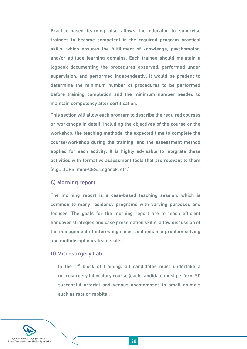Practice-based learning also allows the educator to supervise trainees to become competent in the required program practical skills, which ensures the fulfillment of knowledge, psychomotor, and/or attitude learning domains. Each trainee should maintain a logbook documenting the procedures observed, performed under supervision, and performed independently. It would be prudent to determine the minimum number of procedures to be performed before training completion and the minimum number needed to maintain competency after certification.

This section will allow each program to describe the required courses or workshops in detail, including the objectives of the course or the workshop, the teaching methods, the expected time to complete the course/workshop during the training, and the assessment method applied for each activity. It is highly advisable to integrate these activities with formative assessment tools that are relevant to them (e.g., DOPS, mini-CES, Logbook, etc.).

#### C) Morning report

The morning report is a case-based teaching session, which is common to many residency programs with varying purposes and focuses. The goals for the morning report are to teach efficient handover strategies and case presentation skills, allow discussion of the management of interesting cases, and enhance problem solving and multidisciplinary team skills.

#### D) Microsurgery Lab

 $\circ$  In the 1<sup>st</sup> block of training, all candidates must undertake a microsurgery laboratory course (each candidate must perform 50 successful arterial and venous anastomoses in small animals such as rats or rabbits).

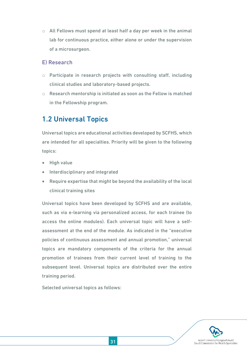$\circ$  All Fellows must spend at least half a day per week in the animal lab for continuous practice, either alone or under the supervision of a microsurgeon.

#### E) Research

- o Participate in research projects with consulting staff, including clinical studies and laboratory-based projects.
- o Research mentorship is initiated as soon as the Fellow is matched in the Fellowship program.

## <span id="page-30-0"></span>1.2 Universal Topics

Universal topics are educational activities developed by SCFHS, which are intended for all specialties. Priority will be given to the following topics:

- High value
- Interdisciplinary and integrated
- Require expertise that might be beyond the availability of the local clinical training sites

Universal topics have been developed by SCFHS and are available, such as via e-learning via personalized access, for each trainee (to access the online modules). Each universal topic will have a selfassessment at the end of the module. As indicated in the "executive policies of continuous assessment and annual promotion," universal topics are mandatory components of the criteria for the annual promotion of trainees from their current level of training to the subsequent level. Universal topics are distributed over the entire training period.

Selected universal topics as follows:

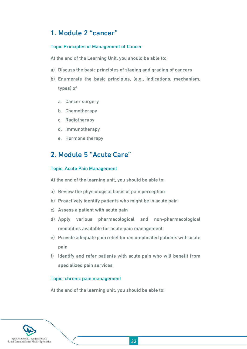## <span id="page-31-0"></span>1. Module 2 "cancer"

#### Topic Principles of Management of Cancer

At the end of the Learning Unit, you should be able to:

- a) Discuss the basic principles of staging and grading of cancers
- b) Enumerate the basic principles, (e.g., indications, mechanism, types) of
	- a. Cancer surgery
	- b. Chemotherapy
	- c. Radiotherapy
	- d. Immunotherapy
	- e. Hormone therapy

## <span id="page-31-1"></span>2. Module 5 "Acute Care"

#### Topic, Acute Pain Management

At the end of the learning unit, you should be able to:

- a) Review the physiological basis of pain perception
- b) Proactively identify patients who might be in acute pain
- c) Assess a patient with acute pain
- d) Apply various pharmacological and non-pharmacological modalities available for acute pain management
- e) Provide adequate pain relief for uncomplicated patients with acute pain
- f) Identify and refer patients with acute pain who will benefit from specialized pain services

#### Topic, chronic pain management

At the end of the learning unit, you should be able to:

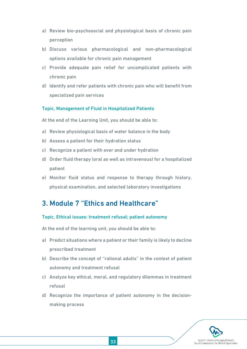- a) Review bio-psychosocial and physiological basis of chronic pain perception
- b) Discuss various pharmacological and non-pharmacological options available for chronic pain management
- c) Provide adequate pain relief for uncomplicated patients with chronic pain
- d) Identify and refer patients with chronic pain who will benefit from specialized pain services

#### Topic, Management of Fluid in Hospitalized Patients

At the end of the Learning Unit, you should be able to:

- a) Review physiological basis of water balance in the body
- b) Assess a patient for their hydration status
- c) Recognize a patient with over and under hydration
- d) Order fluid therapy (oral as well as intravenous) for a hospitalized patient
- e) Monitor fluid status and response to therapy through history, physical examination, and selected laboratory investigations

## <span id="page-32-0"></span>3. Module 7 "Ethics and Healthcare"

#### Topic, Ethical issues: treatment refusal; patient autonomy

At the end of the learning unit, you should be able to:

- a) Predict situations where a patient or their family is likely to decline prescribed treatment
- b) Describe the concept of "rational adults" in the context of patient autonomy and treatment refusal
- c) Analyze key ethical, moral, and regulatory dilemmas in treatment refusal
- d) Recognize the importance of patient autonomy in the decisionmaking process

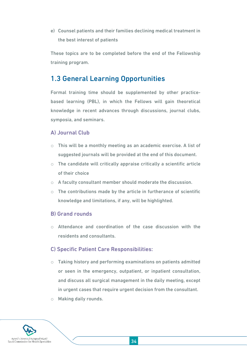e) Counsel patients and their families declining medical treatment in the best interest of patients

These topics are to be completed before the end of the Fellowship training program.

## <span id="page-33-0"></span>1.3 General Learning Opportunities

Formal training time should be supplemented by other practicebased learning (PBL), in which the Fellows will gain theoretical knowledge in recent advances through discussions, journal clubs, symposia, and seminars.

#### A) Journal Club

- $\circ$  This will be a monthly meeting as an academic exercise. A list of suggested journals will be provided at the end of this document.
- $\circ$  The candidate will critically appraise critically a scientific article of their choice
- o A faculty consultant member should moderate the discussion.
- $\circ$  The contributions made by the article in furtherance of scientific knowledge and limitations, if any, will be highlighted.

#### B) Grand rounds

o Attendance and coordination of the case discussion with the residents and consultants.

#### C) Specific Patient Care Responsibilities:

- o Taking history and performing examinations on patients admitted or seen in the emergency, outpatient, or inpatient consultation, and discuss all surgical management in the daily meeting, except in urgent cases that require urgent decision from the consultant.
- o Making daily rounds.

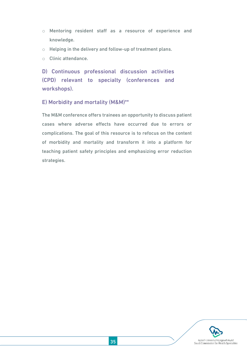- o Mentoring resident staff as a resource of experience and knowledge.
- o Helping in the delivery and follow-up of treatment plans.
- o Clinic attendance.

D) Continuous professional discussion activities (CPD) relevant to specialty (conferences and workshops).

#### E) Morbidity and mortality (M&M)\*\*

The M&M conference offers trainees an opportunity to discuss patient cases where adverse effects have occurred due to errors or complications. The goal of this resource is to refocus on the content of morbidity and mortality and transform it into a platform for teaching patient safety principles and emphasizing error reduction strategies.

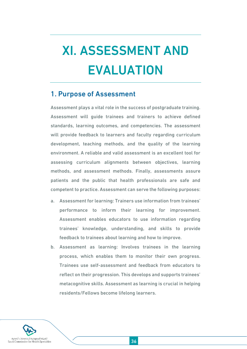# <span id="page-35-0"></span>XI. ASSESSMENT AND EVALUATION

### <span id="page-35-1"></span>1. Purpose of Assessment

Assessment plays a vital role in the success of postgraduate training. Assessment will guide trainees and trainers to achieve defined standards, learning outcomes, and competencies. The assessment will provide feedback to learners and faculty regarding curriculum development, teaching methods, and the quality of the learning environment. A reliable and valid assessment is an excellent tool for assessing curriculum alignments between objectives, learning methods, and assessment methods. Finally, assessments assure patients and the public that health professionals are safe and competent to practice. Assessment can serve the following purposes:

- a. Assessment for learning: Trainers use information from trainees' performance to inform their learning for improvement. Assessment enables educators to use information regarding trainees' knowledge, understanding, and skills to provide feedback to trainees about learning and how to improve.
- b. Assessment as learning: Involves trainees in the learning process, which enables them to monitor their own progress. Trainees use self-assessment and feedback from educators to reflect on their progression. This develops and supports trainees' metacognitive skills. Assessment as learning is crucial in helping residents/Fellows become lifelong learners.

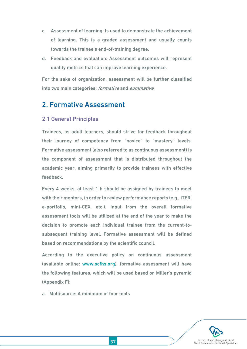- c. Assessment of learning: Is used to demonstrate the achievement of learning. This is a graded assessment and usually counts towards the trainee's end-of-training degree.
- d. Feedback and evaluation: Assessment outcomes will represent quality metrics that can improve learning experience.

For the sake of organization, assessment will be further classified into two main categories: formative and summative.

### <span id="page-36-0"></span>2. Formative Assessment

#### 2.1 General Principles

Trainees, as adult learners, should strive for feedback throughout their journey of competency from "novice" to "mastery" levels. Formative assessment (also referred to as continuous assessment) is the component of assessment that is distributed throughout the academic year, aiming primarily to provide trainees with effective feedback.

Every 4 weeks, at least 1 h should be assigned by trainees to meet with their mentors, in order to review performance reports (e.g., ITER, e-portfolio, mini-CEX, etc.). Input from the overall formative assessment tools will be utilized at the end of the year to make the decision to promote each individual trainee from the current-tosubsequent training level. Formative assessment will be defined based on recommendations by the scientific council.

According to the executive policy on continuous assessment (available online: [www.scfhs.org\)](http://www.scfhs.org/), formative assessment will have the following features, which will be used based on Miller's pyramid (Appendix F):

a. Multisource: A minimum of four tools

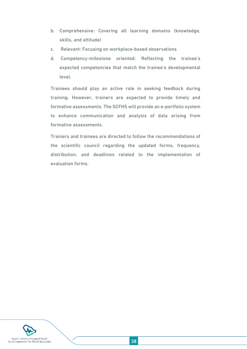- b. Comprehensive: Covering all learning domains (knowledge, skills, and attitude)
- c. Relevant: Focusing on workplace-based observations
- d. Competency-milestone oriented: Reflecting the trainee's expected competencies that match the trainee's developmental level.

Trainees should play an active role in seeking feedback during training. However, trainers are expected to provide timely and formative assessments. The SCFHS will provide an e-portfolio system to enhance communication and analysis of data arising from formative assessments.

Trainers and trainees are directed to follow the recommendations of the scientific council regarding the updated forms, frequency, distribution, and deadlines related to the implementation of evaluation forms.

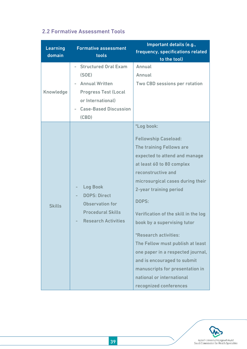| <b>Learning</b><br>domain | <b>Formative assessment</b><br>tools                                                                                                                       | Important details (e.g.,<br>frequency, specifications related<br>to the tool)                                                                                                                                                                                                                                                                                                                                                                                                                                                      |
|---------------------------|------------------------------------------------------------------------------------------------------------------------------------------------------------|------------------------------------------------------------------------------------------------------------------------------------------------------------------------------------------------------------------------------------------------------------------------------------------------------------------------------------------------------------------------------------------------------------------------------------------------------------------------------------------------------------------------------------|
| Knowledge                 | <b>Structured Oral Exam</b><br>(SOE)<br><b>Annual Written</b><br><b>Progress Test (Local</b><br>or International)<br><b>Case-Based Discussion</b><br>(CBD) | Annual<br>Annual<br>Two CBD sessions per rotation                                                                                                                                                                                                                                                                                                                                                                                                                                                                                  |
| <b>Skills</b>             | <b>Log Book</b><br><b>DOPS: Direct</b><br><b>Observation for</b><br><b>Procedural Skills</b><br><b>Research Activities</b>                                 | *Log book:<br><b>Fellowship Caseload:</b><br>The training Fellows are<br>expected to attend and manage<br>at least 60 to 80 complex<br>reconstructive and<br>microsurgical cases during their<br>2-year training period<br>DOPS:<br>Verification of the skill in the log<br>book by a supervising tutor<br>*Research activities:<br>The Fellow must publish at least<br>one paper in a respected journal,<br>and is encouraged to submit<br>manuscripts for presentation in<br>national or international<br>recognized conferences |

### 2.2 Formative Assessment Tools

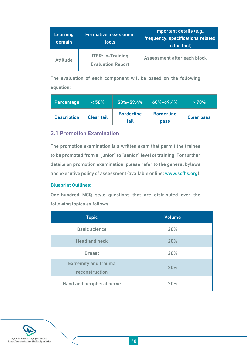| <b>Learning</b><br>domain <sup>1</sup> | <b>Formative assessment</b><br>tools                 | Important details (e.g.,<br>frequency, specifications related<br>to the tool) |
|----------------------------------------|------------------------------------------------------|-------------------------------------------------------------------------------|
| <b>Attitude</b>                        | <b>ITER: In-Training</b><br><b>Evaluation Report</b> | Assessment after each block                                                   |

The evaluation of each component will be based on the following equation:

| Percentage         | $~150\%$          | $50\% - 59.4\%$           | $60\% - 69.4\%$                  | >70%              |
|--------------------|-------------------|---------------------------|----------------------------------|-------------------|
| <b>Description</b> | <b>Clear fail</b> | <b>Borderline</b><br>fail | <b>Borderline</b><br><b>pass</b> | <b>Clear pass</b> |

#### 3.1 Promotion Examination

The promotion examination is a written exam that permit the trainee to be promoted from a "junior" to "senior" level of training. For further details on promotion examination, please refer to the general bylaws and executive policy of assessment (available online[: www.scfhs.org\)](http://www.scfhs.org/).

#### Blueprint Outlines:

One-hundred MCQ style questions that are distributed over the following topics as follows:

| <b>Topic</b>                                  | <b>Volume</b> |
|-----------------------------------------------|---------------|
| <b>Basic science</b>                          | 20%           |
| <b>Head and neck</b>                          | 20%           |
| <b>Breast</b>                                 | 20%           |
| <b>Extremity and trauma</b><br>reconstruction | 20%           |
| Hand and peripheral nerve                     | 20%           |

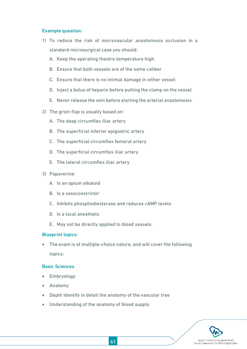#### Example question:

- 1) To reduce the risk of microvascular anastomosis occlusion in a standard microsurgical case you should:
	- A. Keep the operating theatre temperature high
	- B. Ensure that both vessels are of the same caliber
	- C. Ensure that there is no intimal damage in either vessel
	- D. Inject a bolus of heparin before putting the clamp on the vessel
	- E. Never release the vein before starting the arterial anastomosis
- 2) The groin flap is usually based on:
	- A. The deep circumflex iliac artery
	- B. The superficial inferior epigastric artery
	- C. The superficial circumflex femoral artery
	- D. The superficial circumflex iliac artery
	- E. The lateral circumflex iliac artery
- 3) Papaverine:
	- A. Is an opium alkaloid
	- B. Is a vasoconstrictor
	- C. Inhibits phosphodiesterase and reduces cAMP levels
	- D. Is a local anesthetic
	- E. May not be directly applied to blood vessels

#### Blueprint topics:

 The exam is of multiple-choice nature, and will cover the following topics:

#### Basic Sciences

- Embryology
- Anatomy
- Depth Identify in detail the anatomy of the vascular tree
- Understanding of the anatomy of blood supply

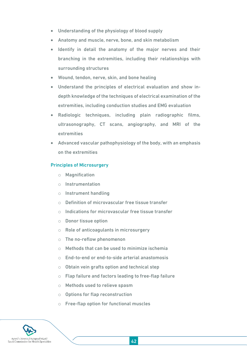- Understanding of the physiology of blood supply
- Anatomy and muscle, nerve, bone, and skin metabolism
- Identify in detail the anatomy of the major nerves and their branching in the extremities, including their relationships with surrounding structures
- Wound, tendon, nerve, skin, and bone healing
- Understand the principles of electrical evaluation and show indepth knowledge of the techniques of electrical examination of the extremities, including conduction studies and EMG evaluation
- Radiologic techniques, including plain radiographic films, ultrasonography, CT scans, angiography, and MRI of the extremities
- Advanced vascular pathophysiology of the body, with an emphasis on the extremities

#### Principles of Microsurgery

- o Magnification
- o Instrumentation
- o Instrument handling
- o Definition of microvascular free tissue transfer
- $\circ$  Indications for microvascular free tissue transfer
- o Donor tissue option
- o Role of anticoagulants in microsurgery
- o The no-reflow phenomenon
- o Methods that can be used to minimize ischemia
- o End-to-end or end-to-side arterial anastomosis
- $\circ$  Obtain vein grafts option and technical step
- o Flap failure and factors leading to free-flap failure
- o Methods used to relieve spasm
- o Options for flap reconstruction
- o Free-flap option for functional muscles

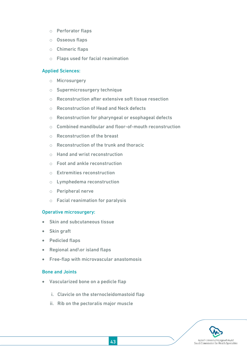- o Perforator flaps
- o Osseous flaps
- o Chimeric flaps
- o Flaps used for facial reanimation

#### Applied Sciences:

- o Microsurgery
- o Supermicrosurgery technique
- o Reconstruction after extensive soft tissue resection
- o Reconstruction of Head and Neck defects
- o Reconstruction for pharyngeal or esophageal defects
- o Combined mandibular and floor-of-mouth reconstruction
- o Reconstruction of the breast
- o Reconstruction of the trunk and thoracic
- o Hand and wrist reconstruction
- o Foot and ankle reconstruction
- o Extremities reconstruction
- o Lymphedema reconstruction
- o Peripheral nerve
- o Facial reanimation for paralysis

#### Operative microsurgery:

- Skin and subcutaneous tissue
- Skin graft
- Pedicled flaps
- Regional and\or island flaps
- Free-flap with microvascular anastomosis

#### Bone and Joints

- Vascularized bone on a pedicle flap
	- i. Clavicle on the sternocleidomastoid flap
	- ii. Rib on the pectoralis major muscle

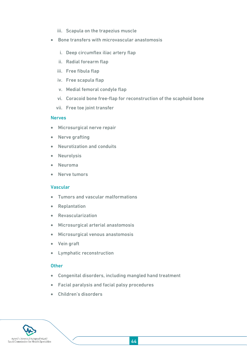- iii. Scapula on the trapezius muscle
- Bone transfers with microvascular anastomosis
	- i. Deep circumflex iliac artery flap
	- ii. Radial forearm flap
	- iii. Free fibula flap
	- iv. Free scapula flap
	- v. Medial femoral condyle flap
	- vi. Coracoid bone free-flap for reconstruction of the scaphoid bone
	- vii. Free toe joint transfer

#### **Nerves**

- Microsurgical nerve repair
- Nerve grafting
- Neurotization and conduits
- Neurolysis
- Neuroma
- Nerve tumors

#### Vascular

- Tumors and vascular malformations
- Replantation
- Revascularization
- Microsurgical arterial anastomosis
- Microsurgical venous anastomosis
- Vein graft
- Lymphatic reconstruction

#### **Other**

- Congenital disorders, including mangled hand treatment
- Facial paralysis and facial palsy procedures
- Children's disorders

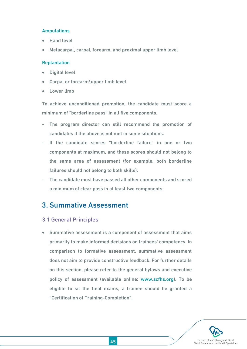#### Amputations

- Hand level
- Metacarpal, carpal, forearm, and proximal upper limb level

#### Replantation

- Digital level
- Carpal or forearm\upper limb level
- Lower limb

To achieve unconditioned promotion, the candidate must score a minimum of "borderline pass" in all five components.

- The program director can still recommend the promotion of candidates if the above is not met in some situations.
- If the candidate scores "borderline failure" in one or two components at maximum, and these scores should not belong to the same area of assessment (for example, both borderline failures should not belong to both skills).
- The candidate must have passed all other components and scored a minimum of clear pass in at least two components.

### <span id="page-44-0"></span>3. Summative Assessment

#### 3.1 General Principles

 Summative assessment is a component of assessment that aims primarily to make informed decisions on trainees' competency. In comparison to formative assessment, summative assessment does not aim to provide constructive feedback. For further details on this section, please refer to the general bylaws and executive policy of assessment (available online: [www.scfhs.org\)](http://www.scfhs.org/). To be eligible to sit the final exams, a trainee should be granted a "Certification of Training-Completion".

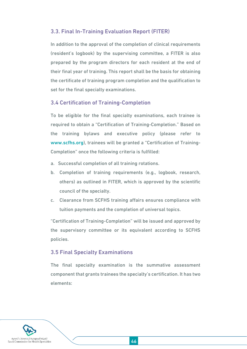#### 3.3. Final In-Training Evaluation Report (FITER)

In addition to the approval of the completion of clinical requirements (resident's logbook) by the supervising committee, a FITER is also prepared by the program directors for each resident at the end of their final year of training. This report shall be the basis for obtaining the certificate of training program completion and the qualification to set for the final specialty examinations.

#### 3.4 Certification of Training-Completion

To be eligible for the final specialty examinations, each trainee is required to obtain a "Certification of Training-Completion." Based on the training bylaws and executive policy (please refer to [www.scfhs.org\)](http://www.scfhs.org/), trainees will be granted a "Certification of Training-Completion" once the following criteria is fulfilled:

- a. Successful completion of all training rotations.
- b. Completion of training requirements (e.g., logbook, research, others) as outlined in FITER, which is approved by the scientific council of the specialty.
- c. Clearance from SCFHS training affairs ensures compliance with tuition payments and the completion of universal topics.

"Certification of Training-Completion" will be issued and approved by the supervisory committee or its equivalent according to SCFHS policies.

#### 3.5 Final Specialty Examinations

The final specialty examination is the summative assessment component that grants trainees the specialty's certification. It has two elements:

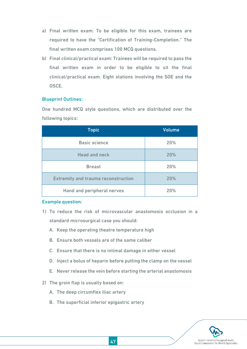- a) Final written exam: To be eligible for this exam, trainees are required to have the "Certification of Training-Completion." The final written exam comprises 100 MCQ questions.
- b) Final clinical/practical exam: Trainees will be required to pass the final written exam in order to be eligible to sit the final clinical/practical exam. Eight stations involving the SOE and the OSCE.

#### Blueprint Outlines:

One hundred MCQ style questions, which are distributed over the following topics:

| <b>Topic</b>                               | <b>Volume</b> |
|--------------------------------------------|---------------|
| <b>Basic science</b>                       | 20%           |
| <b>Head and neck</b>                       | 20%           |
| <b>Breast</b>                              | 20%           |
| <b>Extremity and trauma reconstruction</b> | 20%           |
| Hand and peripheral nerves                 | 20%           |

#### Example question:

- 1) To reduce the risk of microvascular anastomosis occlusion in a standard microsurgical case you should:
	- A. Keep the operating theatre temperature high
	- B. Ensure both vessels are of the same caliber
	- C. Ensure that there is no intimal damage in either vessel
	- D. Inject a bolus of heparin before putting the clamp on the vessel
	- E. Never release the vein before starting the arterial anastomosis
- 2) The groin flap is usually based on:
	- A. The deep circumflex iliac artery
	- B. The superficial inferior epigastric artery

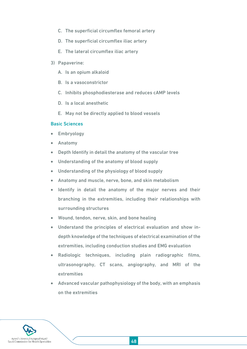- C. The superficial circumflex femoral artery
- D. The superficial circumflex iliac artery
- E. The lateral circumflex iliac artery
- 3) Papaverine:
	- A. Is an opium alkaloid
	- B. Is a vasoconstrictor
	- C. Inhibits phosphodiesterase and reduces cAMP levels
	- D. Is a local anesthetic
	- E. May not be directly applied to blood vessels

#### Basic Sciences

- Embryology
- Anatomy
- Depth Identify in detail the anatomy of the vascular tree
- Understanding of the anatomy of blood supply
- Understanding of the physiology of blood supply
- Anatomy and muscle, nerve, bone, and skin metabolism
- Identify in detail the anatomy of the major nerves and their branching in the extremities, including their relationships with surrounding structures
- Wound, tendon, nerve, skin, and bone healing
- Understand the principles of electrical evaluation and show indepth knowledge of the techniques of electrical examination of the extremities, including conduction studies and EMG evaluation
- Radiologic techniques, including plain radiographic films, ultrasonography, CT scans, angiography, and MRI of the extremities
- Advanced vascular pathophysiology of the body, with an emphasis on the extremities

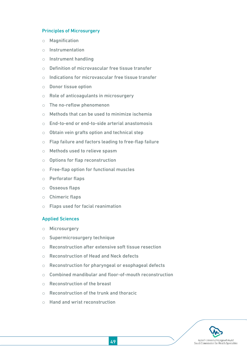#### Principles of Microsurgery

- o Magnification
- o Instrumentation
- o Instrument handling
- o Definition of microvascular free tissue transfer
- o Indications for microvascular free tissue transfer
- o Donor tissue option
- o Role of anticoagulants in microsurgery
- o The no-reflow phenomenon
- $\circ$  Methods that can be used to minimize ischemia
- o End-to-end or end-to-side arterial anastomosis
- o Obtain vein grafts option and technical step
- o Flap failure and factors leading to free-flap failure
- o Methods used to relieve spasm
- o Options for flap reconstruction
- o Free-flap option for functional muscles
- o Perforator flaps
- o Osseous flaps
- o Chimeric flaps
- o Flaps used for facial reanimation

#### Applied Sciences

- o Microsurgery
- o Supermicrosurgery technique
- o Reconstruction after extensive soft tissue resection
- o Reconstruction of Head and Neck defects
- o Reconstruction for pharyngeal or esophageal defects
- o Combined mandibular and floor-of-mouth reconstruction
- o Reconstruction of the breast
- $\circ$  Reconstruction of the trunk and thoracic
- o Hand and wrist reconstruction

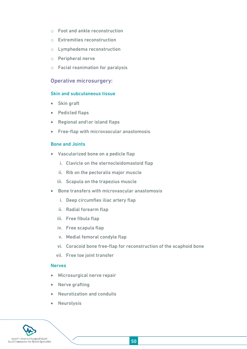- o Foot and ankle reconstruction
- o Extremities reconstruction
- o Lymphedema reconstruction
- o Peripheral nerve
- o Facial reanimation for paralysis

#### Operative microsurgery:

#### Skin and subcutaneous tissue

- Skin graft
- Pedicled flaps
- Regional and \or island flaps
- Free-flap with microvascular anastomosis

#### Bone and Joints

- Vascularized bone on a pedicle flap
	- i. Clavicle on the sternocleidomastoid flap
	- ii. Rib on the pectoralis major muscle
	- iii. Scapula on the trapezius muscle
- Bone transfers with microvascular anastomosis
	- i. Deep circumflex iliac artery flap
	- ii. Radial forearm flap
	- iii. Free fibula flap
	- iv. Free scapula flap
	- v. Medial femoral condyle flap
	- vi. Coracoid bone free-flap for reconstruction of the scaphoid bone
	- vii. Free toe joint transfer

#### Nerves

- Microsurgical nerve repair
- Nerve grafting
- Neurotization and conduits
- Neurolysis

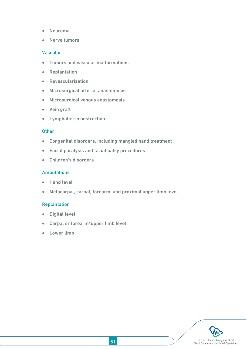- Neuroma
- Nerve tumors

#### Vascular

- Tumors and vascular malformations
- Replantation
- Revascularization
- Microsurgical arterial anastomosis
- Microsurgical venous anastomosis
- Vein graft
- Lymphatic reconstruction

#### **Other**

- Congenital disorders, including mangled hand treatment
- Facial paralysis and facial palsy procedures
- Children's disorders

#### Amputations

- Hand level
- Metacarpal, carpal, forearm, and proximal upper limb level

#### Replantation

- Digital level
- Carpal or forearm\upper limb level
- Lower limb

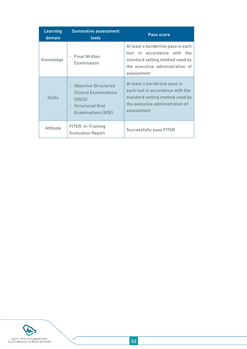| <b>Learning</b><br>domain | <b>Summative assessment</b><br>tools                                                                                         | <b>Pass score</b>                                                                                                                                     |
|---------------------------|------------------------------------------------------------------------------------------------------------------------------|-------------------------------------------------------------------------------------------------------------------------------------------------------|
| Knowledge                 | <b>Final Written</b><br>Examination                                                                                          | At least a borderline pass in each<br>tool in accordance with the<br>standard setting method used by<br>the executive administration of<br>assessment |
| <b>Skills</b>             | <b>Objective Structured</b><br><b>Clinical Examinations</b><br>(OSCE)<br><b>Structured Oral</b><br><b>Examinations (SOE)</b> | At least a borderline pass in<br>each tool in accordance with the<br>standard setting method used by<br>the executive administration of<br>assessment |
| <b>Attitude</b>           | <b>FITER: In-Training</b><br><b>Evaluation Report</b>                                                                        | <b>Successfully pass FITER</b>                                                                                                                        |

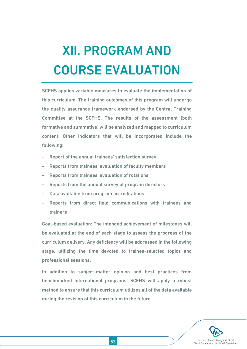# <span id="page-52-0"></span>XII. PROGRAM AND COURSE EVALUATION

SCFHS applies variable measures to evaluate the implementation of this curriculum. The training outcomes of this program will undergo the quality assurance framework endorsed by the Central Training Committee at the SCFHS. The results of the assessment (both formative and summative) will be analyzed and mapped to curriculum content. Other indicators that will be incorporated include the following:

- Report of the annual trainees' satisfaction survey
- Reports from trainees' evaluation of faculty members
- Reports from trainees' evaluation of rotations
- Reports from the annual survey of program directors
- Data available from program accreditations
- Reports from direct field communications with trainees and trainers

Goal-based evaluation: The intended achievement of milestones will be evaluated at the end of each stage to assess the progress of the curriculum delivery. Any deficiency will be addressed in the following stage, utilizing the time devoted to trainee-selected topics and professional sessions.

In addition to subject-matter opinion and best practices from benchmarked international programs, SCFHS will apply a robust method to ensure that this curriculum utilizes all of the data available during the revision of this curriculum in the future.

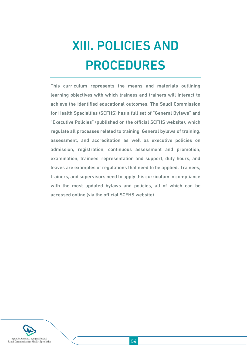# <span id="page-53-0"></span>XIII. POLICIES AND PROCEDURES

This curriculum represents the means and materials outlining learning objectives with which trainees and trainers will interact to achieve the identified educational outcomes. The Saudi Commission for Health Specialties (SCFHS) has a full set of "General Bylaws" and "Executive Policies" (published on the official SCFHS website), which regulate all processes related to training. General bylaws of training, assessment, and accreditation as well as executive policies on admission, registration, continuous assessment and promotion, examination, trainees' representation and support, duty hours, and leaves are examples of regulations that need to be applied. Trainees, trainers, and supervisors need to apply this curriculum in compliance with the most updated bylaws and policies, all of which can be accessed online (via the official SCFHS website).

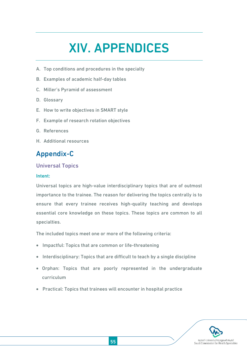## XIV. APPENDICES

- <span id="page-54-0"></span>A. Top conditions and procedures in the specialty
- B. Examples of academic half-day tables
- C. Miller's Pyramid of assessment
- D. Glossary
- E. How to write objectives in SMART style
- F. Example of research rotation objectives
- G. References
- H. Additional resources

## <span id="page-54-1"></span>Appendix-C

#### Universal Topics

#### Intent:

Universal topics are high-value interdisciplinary topics that are of outmost importance to the trainee. The reason for delivering the topics centrally is to ensure that every trainee receives high-quality teaching and develops essential core knowledge on these topics. These topics are common to all specialties.

The included topics meet one or more of the following criteria:

- Impactful: Topics that are common or life-threatening
- Interdisciplinary: Topics that are difficult to teach by a single discipline
- Orphan: Topics that are poorly represented in the undergraduate curriculum
- Practical: Topics that trainees will encounter in hospital practice

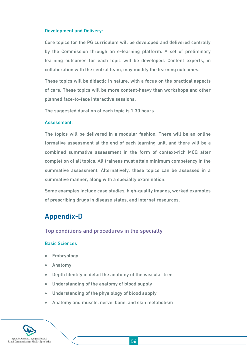#### Development and Delivery:

Core topics for the PG curriculum will be developed and delivered centrally by the Commission through an e-learning platform. A set of preliminary learning outcomes for each topic will be developed. Content experts, in collaboration with the central team, may modify the learning outcomes.

These topics will be didactic in nature, with a focus on the practical aspects of care. These topics will be more content-heavy than workshops and other planned face-to-face interactive sessions.

The suggested duration of each topic is 1.30 hours.

#### Assessment:

The topics will be delivered in a modular fashion. There will be an online formative assessment at the end of each learning unit, and there will be a combined summative assessment in the form of context-rich MCQ after completion of all topics. All trainees must attain minimum competency in the summative assessment. Alternatively, these topics can be assessed in a summative manner, along with a specialty examination.

Some examples include case studies, high-quality images, worked examples of prescribing drugs in disease states, and internet resources.

## <span id="page-55-0"></span>Appendix-D

Top conditions and procedures in the specialty

#### Basic Sciences

- Embryology
- Anatomy
- Depth Identify in detail the anatomy of the vascular tree
- Understanding of the anatomy of blood supply
- Understanding of the physiology of blood supply
- Anatomy and muscle, nerve, bone, and skin metabolism

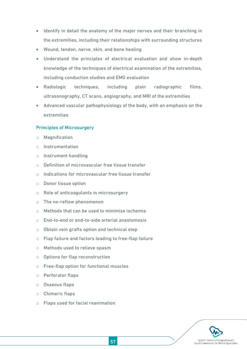- Identify in detail the anatomy of the major nerves and their branching in the extremities, including their relationships with surrounding structures
- Wound, tendon, nerve, skin, and bone healing
- Understand the principles of electrical evaluation and show in-depth knowledge of the techniques of electrical examination of the extremities, including conduction studies and EMG evaluation
- Radiologic techniques, including plain radiographic films, ultrasonography, CT scans, angiography, and MRI of the extremities
- Advanced vascular pathophysiology of the body, with an emphasis on the extremities

#### Principles of Microsurgery

- o Magnification
- o Instrumentation
- o Instrument handling
- o Definition of microvascular free tissue transfer
- o Indications for microvascular free tissue transfer
- o Donor tissue option
- o Role of anticoagulants in microsurgery
- o The no-reflow phenomenon
- o Methods that can be used to minimize ischemia
- o End-to-end or end-to-side arterial anastomosis
- $\circ$  Obtain vein grafts option and technical step
- o Flap failure and factors leading to free-flap failure
- o Methods used to relieve spasm
- o Options for flap reconstruction
- o Free-flap option for functional muscles
- o Perforator flaps
- o Osseous flaps
- o Chimeric flaps
- o Flaps used for facial reanimation

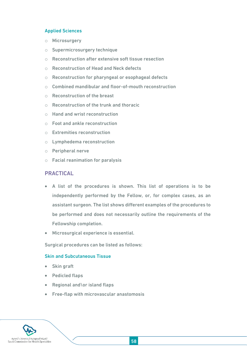#### Applied Sciences

- o Microsurgery
- o Supermicrosurgery technique
- o Reconstruction after extensive soft tissue resection
- o Reconstruction of Head and Neck defects
- o Reconstruction for pharyngeal or esophageal defects
- o Combined mandibular and floor-of-mouth reconstruction
- o Reconstruction of the breast
- o Reconstruction of the trunk and thoracic
- o Hand and wrist reconstruction
- o Foot and ankle reconstruction
- o Extremities reconstruction
- o Lymphedema reconstruction
- o Peripheral nerve
- o Facial reanimation for paralysis

#### PRACTICAL

- A list of the procedures is shown. This list of operations is to be independently performed by the Fellow, or, for complex cases, as an assistant surgeon. The list shows different examples of the procedures to be performed and does not necessarily outline the requirements of the Fellowship completion.
- Microsurgical experience is essential.

Surgical procedures can be listed as follows:

#### Skin and Subcutaneous Tissue

- Skin graft
- Pedicled flaps
- Regional and\or island flaps
- Free-flap with microvascular anastomosis

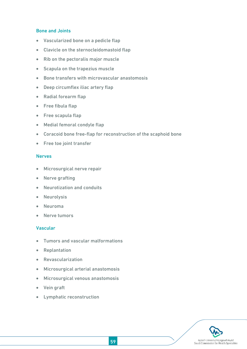#### Bone and Joints

- Vascularized bone on a pedicle flap
- Clavicle on the sternocleidomastoid flap
- Rib on the pectoralis major muscle
- Scapula on the trapezius muscle
- Bone transfers with microvascular anastomosis
- Deep circumflex iliac artery flap
- Radial forearm flap
- Free fibula flap
- Free scapula flap
- Medial femoral condyle flap
- Coracoid bone free-flap for reconstruction of the scaphoid bone
- Free toe joint transfer

#### **Nerves**

- Microsurgical nerve repair
- Nerve grafting
- Neurotization and conduits
- Neurolysis
- Neuroma
- Nerve tumors

#### Vascular

- Tumors and vascular malformations
- Replantation
- Revascularization
- Microsurgical arterial anastomosis
- Microsurgical venous anastomosis
- Vein graft
- Lymphatic reconstruction

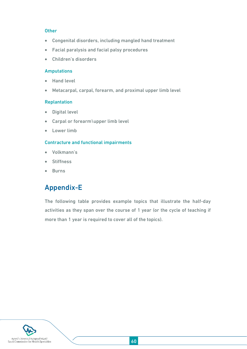#### **Other**

- Congenital disorders, including mangled hand treatment
- Facial paralysis and facial palsy procedures
- Children's disorders

#### Amputations

- Hand level
- Metacarpal, carpal, forearm, and proximal upper limb level

#### Replantation

- **•** Digital level
- Carpal or forearm\upper limb level
- Lower limb

#### Contracture and functional impairments

- Volkmann's
- **•** Stiffness
- **•** Burns

## <span id="page-59-0"></span>Appendix-E

The following table provides example topics that illustrate the half-day activities as they span over the course of 1 year (or the cycle of teaching if more than 1 year is required to cover all of the topics).

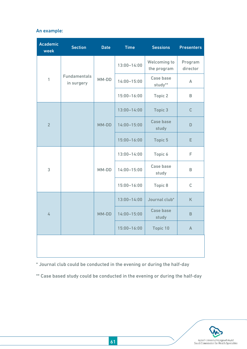#### An example:

| <b>Academic</b><br>week | <b>Section</b>                    | <b>Date</b> | <b>Time</b>     | <b>Sessions</b>             | <b>Presenters</b>   |
|-------------------------|-----------------------------------|-------------|-----------------|-----------------------------|---------------------|
| $\overline{1}$          | <b>Fundamentals</b><br>in surgery | MM-DD       | $13:00 - 14:00$ | Welcoming to<br>the program | Program<br>director |
|                         |                                   |             | $14:00 - 15:00$ | Case base<br>study**        | $\mathsf{A}$        |
|                         |                                   |             | $15:00 - 16:00$ | Topic 2                     | B                   |
| $\overline{2}$          |                                   | MM-DD       | $13:00 - 14:00$ | Topic 3                     | $\mathsf{C}$        |
|                         |                                   |             | $14:00 - 15:00$ | <b>Case base</b><br>study   | D                   |
|                         |                                   |             | 15:00-16:00     | Topic 5                     | E                   |
| 3                       |                                   |             | $13:00 - 14:00$ | Topic 6                     | F                   |
|                         |                                   | MM-DD       | $14:00 - 15:00$ | Case base<br>study          | B                   |
|                         |                                   |             | $15:00 - 16:00$ | Topic 8                     | $\mathsf{C}$        |
| 4                       |                                   | MM-DD       | $13:00 - 14:00$ | Journal club*               | K                   |
|                         |                                   |             | $14:00 - 15:00$ | Case base<br>study          | B                   |
|                         |                                   |             | 15:00-16:00     | Topic 10                    | $\mathsf A$         |
|                         |                                   |             |                 |                             |                     |

\* Journal club could be conducted in the evening or during the half-day

\*\* Case based study could be conducted in the evening or during the half-day

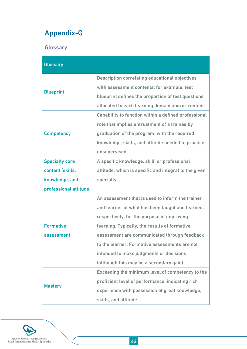## <span id="page-61-0"></span>Appendix-G

**Glossary** 

| <b>Glossary</b>        |                                                       |  |  |  |  |
|------------------------|-------------------------------------------------------|--|--|--|--|
|                        | <b>Description correlating educational objectives</b> |  |  |  |  |
| <b>Blueprint</b>       | with assessment contents; for example, test           |  |  |  |  |
|                        | blueprint defines the proportion of test questions    |  |  |  |  |
|                        | allocated to each learning domain and/or content.     |  |  |  |  |
|                        | Capability to function within a defined professional  |  |  |  |  |
|                        | role that implies entrustment of a trainee by         |  |  |  |  |
| <b>Competency</b>      | graduation of the program, with the required          |  |  |  |  |
|                        | knowledge, skills, and attitude needed to practice    |  |  |  |  |
|                        | unsupervised.                                         |  |  |  |  |
| <b>Specialty core</b>  | A specific knowledge, skill, or professional          |  |  |  |  |
| content (skills,       | attitude, which is specific and integral to the given |  |  |  |  |
| knowledge, and         | specialty.                                            |  |  |  |  |
| professional attitude) |                                                       |  |  |  |  |
|                        | An assessment that is used to inform the trainer      |  |  |  |  |
|                        | and learner of what has been taught and learned,      |  |  |  |  |
|                        | respectively, for the purpose of improving            |  |  |  |  |
| <b>Formative</b>       | learning. Typically, the results of formative         |  |  |  |  |
| assessment             | assessment are communicated through feedback          |  |  |  |  |
|                        | to the learner. Formative assessments are not         |  |  |  |  |
|                        | intended to make judgments or decisions               |  |  |  |  |
|                        | (although this may be a secondary gain).              |  |  |  |  |
|                        | Exceeding the minimum level of competency to the      |  |  |  |  |
|                        | proficient level of performance, indicating rich      |  |  |  |  |
| <b>Mastery</b>         | experience with possession of great knowledge,        |  |  |  |  |
|                        | skills, and attitude.                                 |  |  |  |  |

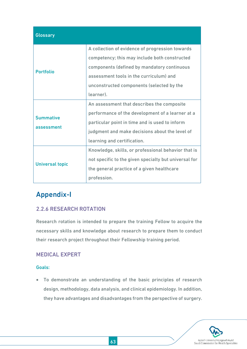| <b>Glossary</b>                |                                                                                                                                                                                                                                                      |
|--------------------------------|------------------------------------------------------------------------------------------------------------------------------------------------------------------------------------------------------------------------------------------------------|
| <b>Portfolio</b>               | A collection of evidence of progression towards<br>competency; this may include both constructed<br>components (defined by mandatory continuous<br>assessment tools in the curriculum) and<br>unconstructed components (selected by the<br>learner). |
| <b>Summative</b><br>assessment | An assessment that describes the composite<br>performance of the development of a learner at a<br>particular point in time and is used to inform<br>judgment and make decisions about the level of<br>learning and certification.                    |
| <b>Universal topic</b>         | Knowledge, skills, or professional behavior that is<br>not specific to the given specialty but universal for<br>the general practice of a given healthcare<br>profession.                                                                            |

## <span id="page-62-0"></span>Appendix-I

### 2.2.6 RESEARCH ROTATION

Research rotation is intended to prepare the training Fellow to acquire the necessary skills and knowledge about research to prepare them to conduct their research project throughout their Fellowship training period.

#### MEDICAL EXPERT

#### Goals:

 To demonstrate an understanding of the basic principles of research design, methodology, data analysis, and clinical epidemiology. In addition, they have advantages and disadvantages from the perspective of surgery.

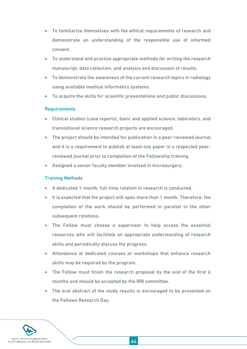- To familiarize themselves with the ethical requirements of research and demonstrate an understanding of the responsible use of informed consent.
- To understand and practice appropriate methods for writing the research manuscript, data collection, and analysis and discussion of results.
- To demonstrate the awareness of the current research topics in radiology using available medical informatics systems.
- To acquire the skills for scientific presentations and public discussions.

#### **Requirements**

- Clinical studies (case reports), basic and applied science, laboratory, and translational science research projects are encouraged.
- The project should be intended for publication in a peer-reviewed journal and it is a requirement to publish at least one paper in a respected peerreviewed journal prior to completion of the Fellowship training.
- Assigned a senior faculty member involved in microsurgery.

#### Training Methods

- A dedicated 1-month, full-time rotation in research is conducted.
- It is expected that the project will span more than 1 month. Therefore, the completion of the work should be performed in parallel to the other subsequent rotations.
- The Fellow must choose a supervisor to help access the essential resources who will facilitate an appropriate understanding of research skills and periodically discuss the progress.
- Attendance at dedicated courses or workshops that enhance research skills may be required by the program.
- The Fellow must finish the research proposal by the end of the first 6 months and should be accepted by the IRB committee.
- The oral abstract of the study results is encouraged to be presented on the Fellows Research Day.

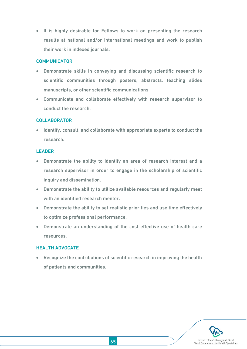• It is highly desirable for Fellows to work on presenting the research results at national and/or international meetings and work to publish their work in indexed journals.

#### **COMMUNICATOR**

- Demonstrate skills in conveying and discussing scientific research to scientific communities through posters, abstracts, teaching slides manuscripts, or other scientific communications
- Communicate and collaborate effectively with research supervisor to conduct the research.

#### COLLABORATOR

• Identify, consult, and collaborate with appropriate experts to conduct the research.

#### LEADER

- Demonstrate the ability to identify an area of research interest and a research supervisor in order to engage in the scholarship of scientific inquiry and dissemination.
- Demonstrate the ability to utilize available resources and regularly meet with an identified research mentor.
- Demonstrate the ability to set realistic priorities and use time effectively to optimize professional performance.
- Demonstrate an understanding of the cost-effective use of health care resources.

#### HEALTH ADVOCATE

 Recognize the contributions of scientific research in improving the health of patients and communities.

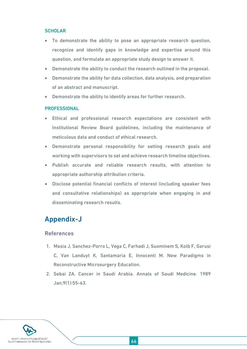#### SCHOLAR

- To demonstrate the ability to pose an appropriate research question, recognize and identify gaps in knowledge and expertise around this question, and formulate an appropriate study design to answer it.
- Demonstrate the ability to conduct the research outlined in the proposal.
- Demonstrate the ability for data collection, data analysis, and preparation of an abstract and manuscript.
- Demonstrate the ability to identify areas for further research.

#### PROFESSIONAL

- Ethical and professional research expectations are consistent with Institutional Review Board guidelines, including the maintenance of meticulous data and conduct of ethical research.
- Demonstrate personal responsibility for setting research goals and working with supervisors to set and achieve research timeline objectives.
- Publish accurate and reliable research results, with attention to appropriate authorship attribution criteria.
- Disclose potential financial conflicts of interest (including speaker fees and consultative relationships) as appropriate when engaging in and disseminating research results.

## <span id="page-65-0"></span>Appendix-J

#### References

- 1. Masia J, Sanchez-Porro L, Vega C, Farhadi J, Suominem S, Kolb F, Garusi C, Van Landuyt K, Santamaria E, Innocenti M. New Paradigms in Reconstructive Microsurgery Education.
- 2. Sebai ZA. Cancer in Saudi Arabia. Annals of Saudi Medicine. 1989 Jan;9(1):55-63.

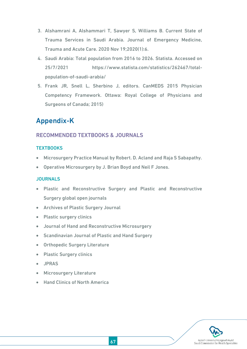- 3. Alshamrani A, Alshammari T, Sawyer S, Williams B. Current State of Trauma Services in Saudi Arabia. Journal of Emergency Medicine, Trauma and Acute Care. 2020 Nov 19;2020(1):6.
- 4. Saudi Arabia: Total population from 2016 to 2026. Statista. Accessed on 25/7/2021 https://www.statista.com/statistics/262467/totalpopulation-of-saudi-arabia/
- 5. Frank JR, Snell L, Sherbino J, editors. CanMEDS 2015 Physician Competency Framework. Ottawa: Royal College of Physicians and Surgeons of Canada; 2015)

## <span id="page-66-0"></span>Appendix-K

#### RECOMMENDED TEXTBOOKS & JOURNALS

#### **TEXTBOOKS**

- Microsurgery Practice Manual by Robert. D. Acland and Raja S Sabapathy.
- Operative Microsurgery by J. Brian Boyd and Neil F Jones.

#### **JOURNALS**

- Plastic and Reconstructive Surgery and Plastic and Reconstructive Surgery global open journals
- Archives of Plastic Surgery Journal
- Plastic surgery clinics
- Journal of Hand and Reconstructive Microsurgery
- Scandinavian Journal of Plastic and Hand Surgery
- Orthopedic Surgery Literature
- **Plastic Surgery clinics**
- JPRAS
- **•** Microsurgery Literature
- Hand Clinics of North America